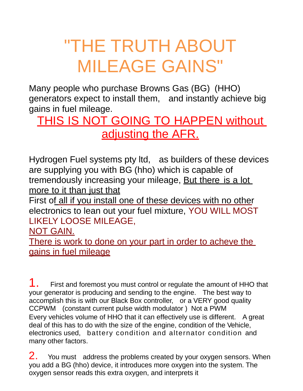# "THE TRUTH ABOUT MILEAGE GAINS"

Many people who purchase Browns Gas (BG) (HHO) generators expect to install them, and instantly achieve big gains in fuel mileage.

## THIS IS NOT GOING TO HAPPEN without adjusting the AFR.

Hydrogen Fuel systems pty ltd, as builders of these devices are supplying you with BG (hho) which is capable of tremendously increasing your mileage, But there is a lot more to it than just that

First of all if you install one of these devices with no other electronics to lean out your fuel mixture, YOU WILL MOST LIKELY LOOSE MILEAGE,

#### NOT GAIN.

There is work to done on your part in order to acheve the gains in fuel mileage

1. First and foremost you must control or regulate the amount of HHO that your generator is producing and sending to the engine. The best way to accomplish this is with our Black Box controller, or a VERY good quality CCPWM (constant current pulse width modulator ) Not a PWM Every vehicles volume of HHO that it can effectively use is different. A great deal of this has to do with the size of the engine, condition of the Vehicle, electronics used, battery condition and alternator condition and many other factors.

2. You must address the problems created by your oxygen sensors. When you add a BG (hho) device, it introduces more oxygen into the system. The oxygen sensor reads this extra oxygen, and interprets it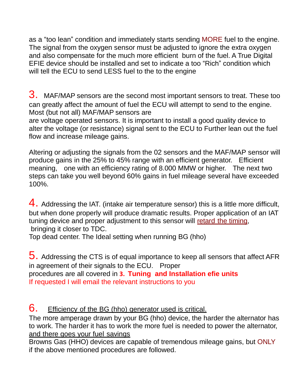as a "too lean" condition and immediately starts sending MORE fuel to the engine. The signal from the oxygen sensor must be adjusted to ignore the extra oxygen and also compensate for the much more efficient burn of the fuel. A True Digital EFIE device should be installed and set to indicate a too "Rich" condition which will tell the ECU to send LESS fuel to the to the engine

3. MAF/MAP sensors are the second most important sensors to treat. These too can greatly affect the amount of fuel the ECU will attempt to send to the engine. Most (but not all) MAF/MAP sensors are

are voltage operated sensors. It is important to install a good quality device to alter the voltage (or resistance) signal sent to the ECU to Further lean out the fuel flow and increase mileage gains.

Altering or adjusting the signals from the 02 sensors and the MAF/MAP sensor will produce gains in the 25% to 45% range with an efficient generator. Efficient meaning, one with an efficiency rating of 8.000 MMW or higher. The next two steps can take you well beyond 60% gains in fuel mileage several have exceeded 100%.

4. Addressing the IAT. (intake air temperature sensor) this is a little more difficult, but when done properly will produce dramatic results. Proper application of an IAT tuning device and proper adjustment to this sensor will retard the timing, bringing it closer to TDC.

Top dead center. The Ideal setting when running BG (hho)

 $5.$  Addressing the CTS is of equal importance to keep all sensors that affect AFR in agreement of their signals to the ECU. Proper procedures are all covered in **3. Tuning and Installation efie units** If requested I will email the relevant instructions to you

#### 6. Efficiency of the BG (hho) generator used is critical.

The more amperage drawn by your BG (hho) device, the harder the alternator has to work. The harder it has to work the more fuel is needed to power the alternator, and there goes your fuel savings

Browns Gas (HHO) devices are capable of tremendous mileage gains, but ONLY if the above mentioned procedures are followed.